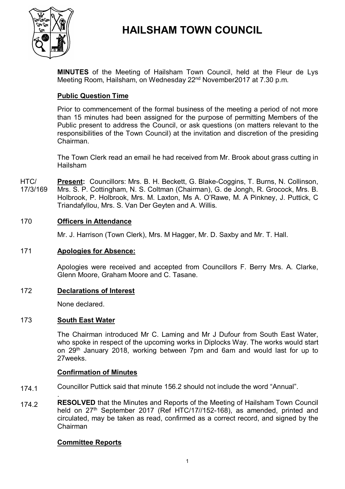

# **HAILSHAM TOWN COUNCIL**

**MINUTES** of the Meeting of Hailsham Town Council, held at the Fleur de Lys Meeting Room, Hailsham, on Wednesday 22<sup>nd</sup> November2017 at 7.30 p.m.

# **Public Question Time**

Prior to commencement of the formal business of the meeting a period of not more than 15 minutes had been assigned for the purpose of permitting Members of the Public present to address the Council, or ask questions (on matters relevant to the responsibilities of the Town Council) at the invitation and discretion of the presiding Chairman.

The Town Clerk read an email he had received from Mr. Brook about grass cutting in Hailsham

HTC/ 17/3/169 **Present:** Councillors: Mrs. B. H. Beckett, G. Blake-Coggins, T. Burns, N. Collinson, Mrs. S. P. Cottingham, N. S. Coltman (Chairman), G. de Jongh, R. Grocock, Mrs. B. Holbrook, P. Holbrook, Mrs. M. Laxton, Ms A. O'Rawe, M. A Pinkney, J. Puttick, C Triandafyllou, Mrs. S. Van Der Geyten and A. Willis.

### 170 **Officers in Attendance**

Mr. J. Harrison (Town Clerk), Mrs. M Hagger, Mr. D. Saxby and Mr. T. Hall.

### 171 **Apologies for Absence:**

Apologies were received and accepted from Councillors F. Berry Mrs. A. Clarke, Glenn Moore, Graham Moore and C. Tasane.

### 172 **Declarations of Interest**

None declared.

### 173 **South East Water**

The Chairman introduced Mr C. Laming and Mr J Dufour from South East Water, who spoke in respect of the upcoming works in Diplocks Way. The works would start on 29<sup>th</sup> January 2018, working between 7pm and 6am and would last for up to 27weeks.

### **Confirmation of Minutes**

- 174.1 Councillor Puttick said that minute 156.2 should not include the word "Annual".
- 174.2 . **RESOLVED** that the Minutes and Reports of the Meeting of Hailsham Town Council held on 27<sup>th</sup> September 2017 (Ref HTC/17//152-168), as amended, printed and circulated, may be taken as read, confirmed as a correct record, and signed by the Chairman

### **Committee Reports**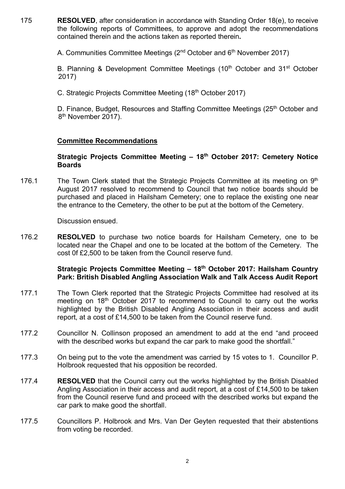175 **RESOLVED**, after consideration in accordance with Standing Order 18(e), to receive the following reports of Committees, to approve and adopt the recommendations contained therein and the actions taken as reported therein**.**

A. Communities Committee Meetings (2<sup>nd</sup> October and 6<sup>th</sup> November 2017)

B. Planning & Development Committee Meetings (10<sup>th</sup> October and 31<sup>st</sup> October 2017)

C. Strategic Projects Committee Meeting (18th October 2017)

D. Finance, Budget, Resources and Staffing Committee Meetings (25<sup>th</sup> October and 8<sup>th</sup> November 2017).

# **Committee Recommendations**

### **Strategic Projects Committee Meeting – 18th October 2017: Cemetery Notice Boards**

176.1 The Town Clerk stated that the Strategic Projects Committee at its meeting on 9<sup>th</sup> August 2017 resolved to recommend to Council that two notice boards should be purchased and placed in Hailsham Cemetery; one to replace the existing one near the entrance to the Cemetery, the other to be put at the bottom of the Cemetery.

Discussion ensued.

176.2 **RESOLVED** to purchase two notice boards for Hailsham Cemetery, one to be located near the Chapel and one to be located at the bottom of the Cemetery. The cost 0f £2,500 to be taken from the Council reserve fund.

# **Strategic Projects Committee Meeting – 18 th October 2017: Hailsham Country Park: British Disabled Angling Association Walk and Talk Access Audit Report**

- 177.1 The Town Clerk reported that the Strategic Projects Committee had resolved at its meeting on 18<sup>th</sup> October 2017 to recommend to Council to carry out the works highlighted by the British Disabled Angling Association in their access and audit report, at a cost of £14,500 to be taken from the Council reserve fund.
- 177.2 Councillor N. Collinson proposed an amendment to add at the end "and proceed with the described works but expand the car park to make good the shortfall."
- 177.3 On being put to the vote the amendment was carried by 15 votes to 1. Councillor P. Holbrook requested that his opposition be recorded.
- 177.4 **RESOLVED** that the Council carry out the works highlighted by the British Disabled Angling Association in their access and audit report, at a cost of £14,500 to be taken from the Council reserve fund and proceed with the described works but expand the car park to make good the shortfall.
- 177.5 Councillors P. Holbrook and Mrs. Van Der Geyten requested that their abstentions from voting be recorded.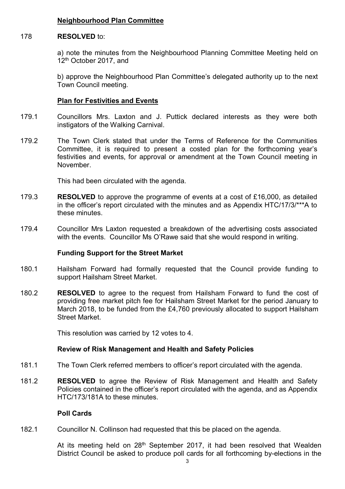### **Neighbourhood Plan Committee**

#### 178 **RESOLVED** to:

a) note the minutes from the Neighbourhood Planning Committee Meeting held on 12<sup>th</sup> October 2017, and

b) approve the Neighbourhood Plan Committee's delegated authority up to the next Town Council meeting.

### **Plan for Festivities and Events**

- 179.1 Councillors Mrs. Laxton and J. Puttick declared interests as they were both instigators of the Walking Carnival.
- 179.2 The Town Clerk stated that under the Terms of Reference for the Communities Committee, it is required to present a costed plan for the forthcoming year's festivities and events, for approval or amendment at the Town Council meeting in November.

This had been circulated with the agenda.

- 179.3 **RESOLVED** to approve the programme of events at a cost of £16,000, as detailed in the officer's report circulated with the minutes and as Appendix HTC/17/3/\*\*\*A to these minutes.
- 179.4 Councillor Mrs Laxton requested a breakdown of the advertising costs associated with the events. Councillor Ms O'Rawe said that she would respond in writing.

# **Funding Support for the Street Market**

- 180.1 Hailsham Forward had formally requested that the Council provide funding to support Hailsham Street Market.
- 180.2 **RESOLVED** to agree to the request from Hailsham Forward to fund the cost of providing free market pitch fee for Hailsham Street Market for the period January to March 2018, to be funded from the £4,760 previously allocated to support Hailsham Street Market.

This resolution was carried by 12 votes to 4.

# **Review of Risk Management and Health and Safety Policies**

- 181.1 The Town Clerk referred members to officer's report circulated with the agenda.
- 181.2 **RESOLVED** to agree the Review of Risk Management and Health and Safety Policies contained in the officer's report circulated with the agenda, and as Appendix HTC/173/181A to these minutes.

### **Poll Cards**

182.1 Councillor N. Collinson had requested that this be placed on the agenda.

> At its meeting held on 28<sup>th</sup> September 2017, it had been resolved that Wealden District Council be asked to produce poll cards for all forthcoming by-elections in the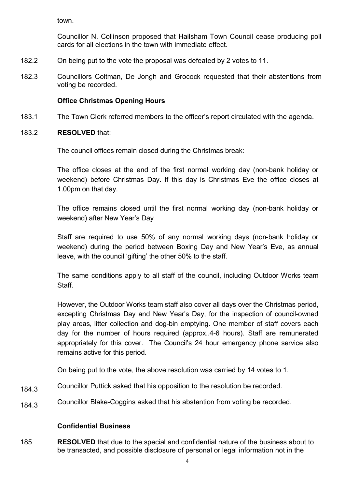town.

Councillor N. Collinson proposed that Hailsham Town Council cease producing poll cards for all elections in the town with immediate effect.

- 182.2 On being put to the vote the proposal was defeated by 2 votes to 11.
- 182.3 Councillors Coltman, De Jongh and Grocock requested that their abstentions from voting be recorded.

# **Office Christmas Opening Hours**

- 183.1 The Town Clerk referred members to the officer's report circulated with the agenda.
- 183.2 **RESOLVED** that:

The council offices remain closed during the Christmas break:

The office closes at the end of the first normal working day (non-bank holiday or weekend) before Christmas Day. If this day is Christmas Eve the office closes at 1.00pm on that day.

The office remains closed until the first normal working day (non-bank holiday or weekend) after New Year's Day

Staff are required to use 50% of any normal working days (non-bank holiday or weekend) during the period between Boxing Day and New Year's Eve, as annual leave, with the council 'gifting' the other 50% to the staff.

The same conditions apply to all staff of the council, including Outdoor Works team **Staff** 

However, the Outdoor Works team staff also cover all days over the Christmas period, excepting Christmas Day and New Year's Day, for the inspection of council-owned play areas, litter collection and dog-bin emptying. One member of staff covers each day for the number of hours required (approx..4-6 hours). Staff are remunerated appropriately for this cover. The Council's 24 hour emergency phone service also remains active for this period.

On being put to the vote, the above resolution was carried by 14 votes to 1.

- 184.3 Councillor Puttick asked that his opposition to the resolution be recorded.
- 184.3 Councillor Blake-Coggins asked that his abstention from voting be recorded.

# **Confidential Business**

185 **RESOLVED** that due to the special and confidential nature of the business about to be transacted, and possible disclosure of personal or legal information not in the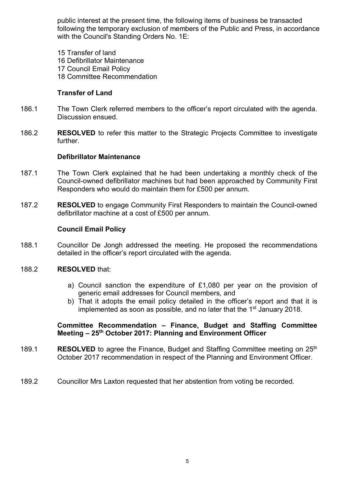public interest at the present time, the following items of business be transacted following the temporary exclusion of members of the Public and Press, in accordance with the Council's Standing Orders No. 1E:

- 15 Transfer of land 16 Defibrillator Maintenance 17 Council Email Policy
- 18 Committee Recommendation

### **Transfer of Land**

- 186.1 The Town Clerk referred members to the officer's report circulated with the agenda. Discussion ensued.
- 186.2 **RESOLVED** to refer this matter to the Strategic Projects Committee to investigate further.

#### **Defibrillator Maintenance**

- 187.1 The Town Clerk explained that he had been undertaking a monthly check of the Council-owned defibrillator machines but had been approached by Community First Responders who would do maintain them for £500 per annum.
- 187.2 **RESOLVED** to engage Community First Responders to maintain the Council-owned defibrillator machine at a cost of £500 per annum.

#### **Council Email Policy**

188.1 Councillor De Jongh addressed the meeting. He proposed the recommendations detailed in the officer's report circulated with the agenda.

#### 188.2 **RESOLVED** that:

- a) Council sanction the expenditure of £1,080 per year on the provision of generic email addresses for Council members, and
- b) That it adopts the email policy detailed in the officer's report and that it is implemented as soon as possible, and no later that the 1<sup>st</sup> January 2018.

#### **Committee Recommendation – Finance, Budget and Staffing Committee Meeting – 25th October 2017: Planning and Environment Officer**

- 189.1 **RESOLVED** to agree the Finance, Budget and Staffing Committee meeting on 25<sup>th</sup> October 2017 recommendation in respect of the Planning and Environment Officer.
- 189.2 Councillor Mrs Laxton requested that her abstention from voting be recorded.